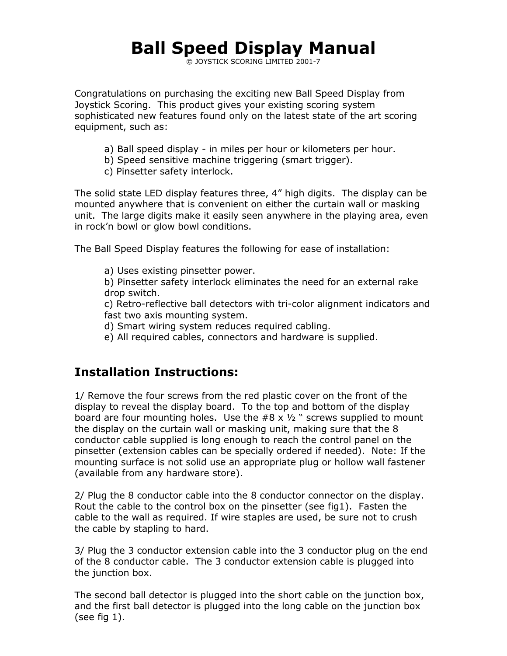# Ball Speed Display Manual

© JOYSTICK SCORING LIMITED 2001-7

Congratulations on purchasing the exciting new Ball Speed Display from Joystick Scoring. This product gives your existing scoring system sophisticated new features found only on the latest state of the art scoring equipment, such as:

- a) Ball speed display in miles per hour or kilometers per hour.
- b) Speed sensitive machine triggering (smart trigger).
- c) Pinsetter safety interlock.

The solid state LED display features three, 4" high digits. The display can be mounted anywhere that is convenient on either the curtain wall or masking unit. The large digits make it easily seen anywhere in the playing area, even in rock'n bowl or glow bowl conditions.

The Ball Speed Display features the following for ease of installation:

a) Uses existing pinsetter power.

b) Pinsetter safety interlock eliminates the need for an external rake drop switch.

c) Retro-reflective ball detectors with tri-color alignment indicators and fast two axis mounting system.

d) Smart wiring system reduces required cabling.

e) All required cables, connectors and hardware is supplied.

## Installation Instructions:

1/ Remove the four screws from the red plastic cover on the front of the display to reveal the display board. To the top and bottom of the display board are four mounting holes. Use the  $#8 \times 1/2$  " screws supplied to mount the display on the curtain wall or masking unit, making sure that the 8 conductor cable supplied is long enough to reach the control panel on the pinsetter (extension cables can be specially ordered if needed). Note: If the mounting surface is not solid use an appropriate plug or hollow wall fastener (available from any hardware store).

2/ Plug the 8 conductor cable into the 8 conductor connector on the display. Rout the cable to the control box on the pinsetter (see fig1). Fasten the cable to the wall as required. If wire staples are used, be sure not to crush the cable by stapling to hard.

3/ Plug the 3 conductor extension cable into the 3 conductor plug on the end of the 8 conductor cable. The 3 conductor extension cable is plugged into the junction box.

The second ball detector is plugged into the short cable on the junction box, and the first ball detector is plugged into the long cable on the junction box (see fig 1).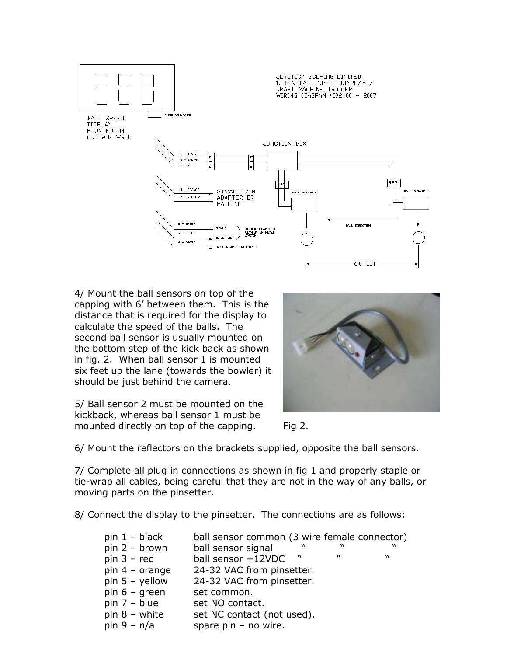

4/ Mount the ball sensors on top of the capping with 6' between them. This is the distance that is required for the display to calculate the speed of the balls. The second ball sensor is usually mounted on the bottom step of the kick back as shown in fig. 2. When ball sensor 1 is mounted six feet up the lane (towards the bowler) it should be just behind the camera.

5/ Ball sensor 2 must be mounted on the kickback, whereas ball sensor 1 must be mounted directly on top of the capping. Fig 2.





6/ Mount the reflectors on the brackets supplied, opposite the ball sensors.

7/ Complete all plug in connections as shown in fig 1 and properly staple or tie-wrap all cables, being careful that they are not in the way of any balls, or moving parts on the pinsetter.

8/ Connect the display to the pinsetter. The connections are as follows:

| $pin 1 - black$         |                            |                  |   | ball sensor common (3 wire female connector) |
|-------------------------|----------------------------|------------------|---|----------------------------------------------|
| $pin 2 - brown$         | ball sensor signal         | $\boldsymbol{w}$ | w | w                                            |
| $pin 3 - red$           | ball sensor +12VDC         | $\mathbf{w}$     |   | w                                            |
| pin $4 - \text{orange}$ | 24-32 VAC from pinsetter.  |                  |   |                                              |
| pin $5 -$ yellow        | 24-32 VAC from pinsetter.  |                  |   |                                              |
| pin $6 -$ green         | set common.                |                  |   |                                              |
| pin $7 - blue$          | set NO contact.            |                  |   |                                              |
| pin $8 -$ white         | set NC contact (not used). |                  |   |                                              |
| pin $9 - n/a$           | spare $pin - no wire$ .    |                  |   |                                              |
|                         |                            |                  |   |                                              |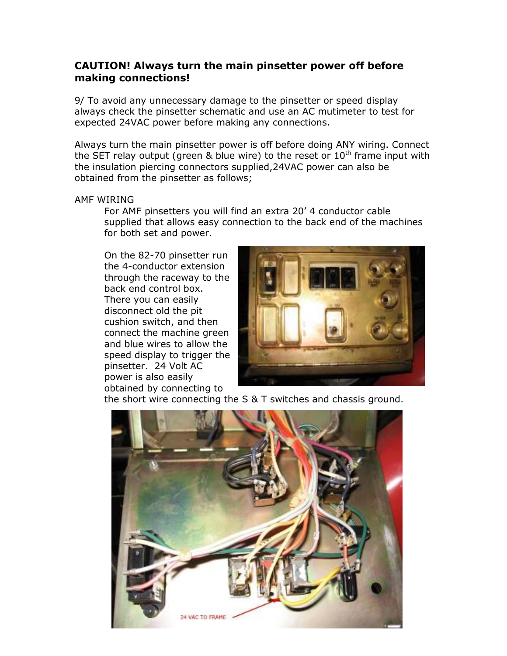### CAUTION! Always turn the main pinsetter power off before making connections!

9/ To avoid any unnecessary damage to the pinsetter or speed display always check the pinsetter schematic and use an AC mutimeter to test for expected 24VAC power before making any connections.

Always turn the main pinsetter power is off before doing ANY wiring. Connect the SET relay output (green & blue wire) to the reset or  $10<sup>th</sup>$  frame input with the insulation piercing connectors supplied,24VAC power can also be obtained from the pinsetter as follows;

#### AMF WIRING

For AMF pinsetters you will find an extra 20' 4 conductor cable supplied that allows easy connection to the back end of the machines for both set and power.

On the 82-70 pinsetter run the 4-conductor extension through the raceway to the back end control box. There you can easily disconnect old the pit cushion switch, and then connect the machine green and blue wires to allow the speed display to trigger the pinsetter. 24 Volt AC power is also easily obtained by connecting to



the short wire connecting the S & T switches and chassis ground.

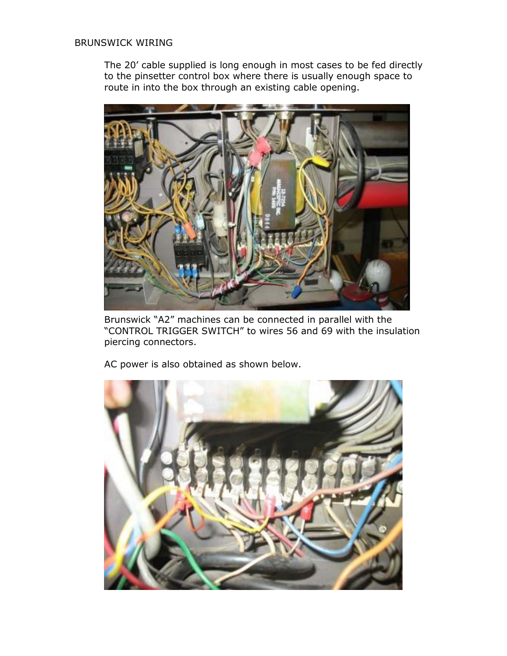#### BRUNSWICK WIRING

The 20' cable supplied is long enough in most cases to be fed directly to the pinsetter control box where there is usually enough space to route in into the box through an existing cable opening.



Brunswick "A2" machines can be connected in parallel with the "CONTROL TRIGGER SWITCH" to wires 56 and 69 with the insulation piercing connectors.

AC power is also obtained as shown below.